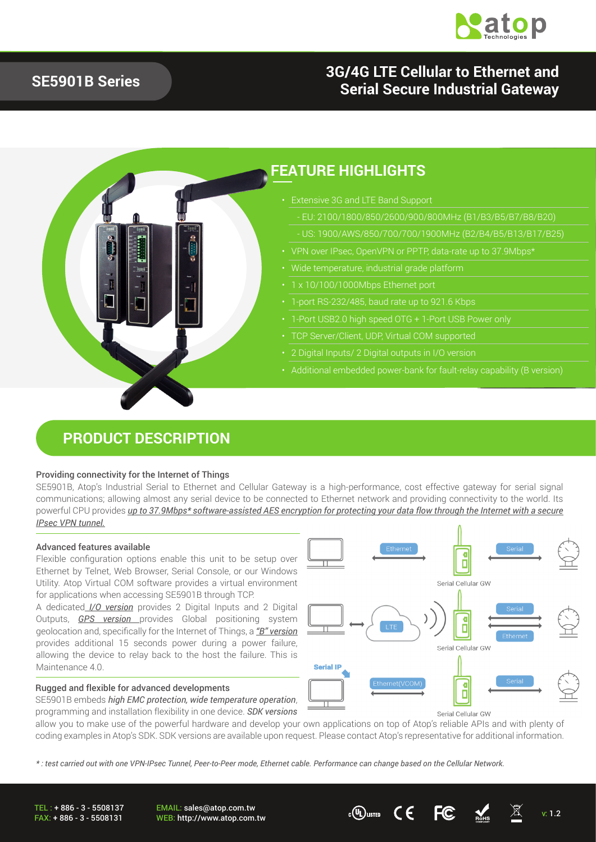

## **3G/4G LTE Cellular to Ethernet and Serial Secure Industrial Gateway**

### **SE5901B Series**

## **FEATURE HIGHLIGHTS**

- Extensive 3G and LTE Band Support
	- EU: 2100/1800/850/2600/900/800MHz (B1/B3/B5/B7/B8/B20)
	-
- 
- 
- 
- 1-port RS-232/485, baud rate up to 921.6 Kbps
- 
- TCP Server/Client, UDP, Virtual COM supported
- 
- Additional embedded power-bank for fault-relay capability (B version)

### **PRODUCT DESCRIPTION**

#### Providing connectivity for the Internet of Things

SE5901B, Atop's Industrial Serial to Ethernet and Cellular Gateway is a high-performance, cost effective gateway for serial signal communications; allowing almost any serial device to be connected to Ethernet network and providing connectivity to the world. Its powerful CPU provides *up to 37.9Mbps\* software-assisted AES encryption for protecting your data flow through the Internet with a secure IPsec VPN tunnel.*

#### Advanced features available

Flexible configuration options enable this unit to be setup over Ethernet by Telnet, Web Browser, Serial Console, or our Windows Utility. Atop Virtual COM software provides a virtual environment for applications when accessing SE5901B through TCP.

A dedicated *I/O version* provides 2 Digital Inputs and 2 Digital Outputs, *GPS version* provides Global positioning system geolocation and, specifically for the Internet of Things, a *"B" version* provides additional 15 seconds power during a power failure, allowing the device to relay back to the host the failure. This is Maintenance 4.0.

#### Rugged and flexible for advanced developments

SE5901B embeds *high EMC protection, wide temperature operation*, programming and installation flexibility in one device. *SDK versions*



allow you to make use of the powerful hardware and develop your own applications on top of Atop's reliable APIs and with plenty of coding examples in Atop's SDK. SDK versions are available upon request. Please contact Atop's representative for additional information.

*\* : test carried out with one VPN-IPsec Tunnel, Peer-to-Peer mode, Ethernet cable. Performance can change based on the Cellular Network.* 

TEL : + 886 - 3 - 5508137 FAX: + 886 - 3 - 5508131

EMAIL: sales@atop.com.tw EMAIL: sales@atop.com.tw<br>WEB: http://www.atop.com.tw v: 1.2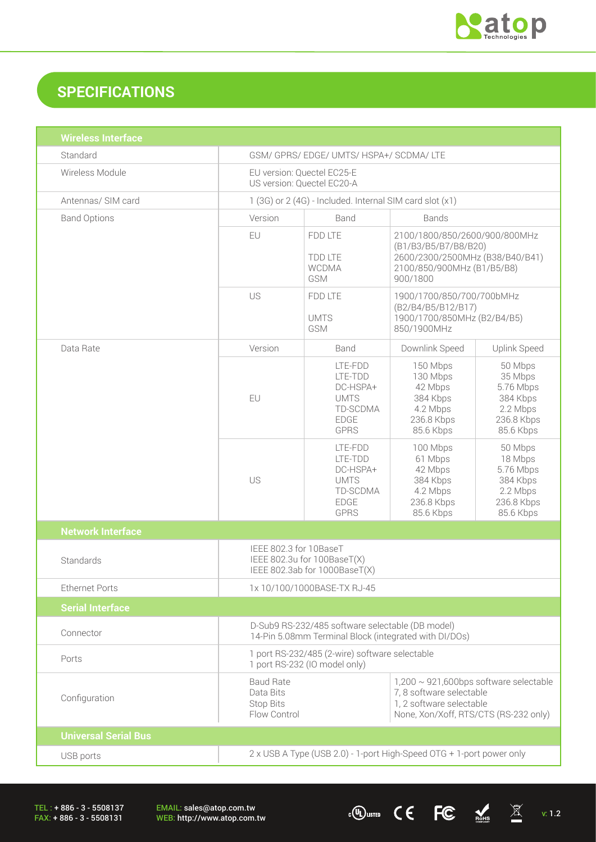

 $\cdot$  (U) usted CEFC  $\frac{1}{\sqrt{2}}$   $\frac{1}{\sqrt{2}}$  v: 1.2

## **SPECIFICATIONS**

| <b>Wireless Interface</b>   |                                                                                                                                                                                                             |                                                                                         |                                                                                                                                    |                                                                                    |
|-----------------------------|-------------------------------------------------------------------------------------------------------------------------------------------------------------------------------------------------------------|-----------------------------------------------------------------------------------------|------------------------------------------------------------------------------------------------------------------------------------|------------------------------------------------------------------------------------|
| Standard                    | GSM/ GPRS/ EDGE/ UMTS/ HSPA+/ SCDMA/ LTE                                                                                                                                                                    |                                                                                         |                                                                                                                                    |                                                                                    |
| Wireless Module             | EU version: Quectel EC25-E<br>US version: Quectel EC20-A                                                                                                                                                    |                                                                                         |                                                                                                                                    |                                                                                    |
| Antennas/ SIM card          | 1 (3G) or 2 (4G) - Included. Internal SIM card slot (x1)                                                                                                                                                    |                                                                                         |                                                                                                                                    |                                                                                    |
| <b>Band Options</b>         | Version                                                                                                                                                                                                     | Band<br><b>Bands</b>                                                                    |                                                                                                                                    |                                                                                    |
|                             | EU                                                                                                                                                                                                          | FDD LTE<br><b>TDD LTE</b><br><b>WCDMA</b><br>GSM                                        | 2100/1800/850/2600/900/800MHz<br>(B1/B3/B5/B7/B8/B20)<br>2600/2300/2500MHz (B38/B40/B41)<br>2100/850/900MHz (B1/B5/B8)<br>900/1800 |                                                                                    |
|                             | US                                                                                                                                                                                                          | FDD LTE<br><b>UMTS</b><br>GSM                                                           | 1900/1700/850/700/700bMHz<br>(B2/B4/B5/B12/B17)<br>1900/1700/850MHz (B2/B4/B5)<br>850/1900MHz                                      |                                                                                    |
| Data Rate                   | Version                                                                                                                                                                                                     | Band                                                                                    | Downlink Speed                                                                                                                     | <b>Uplink Speed</b>                                                                |
|                             | EU                                                                                                                                                                                                          | LTE-FDD<br>LTE-TDD<br>DC-HSPA+<br><b>UMTS</b><br>TD-SCDMA<br><b>EDGE</b><br><b>GPRS</b> | 150 Mbps<br>130 Mbps<br>42 Mbps<br>384 Kbps<br>4.2 Mbps<br>236.8 Kbps<br>85.6 Kbps                                                 | 50 Mbps<br>35 Mbps<br>5.76 Mbps<br>384 Kbps<br>2.2 Mbps<br>236.8 Kbps<br>85.6 Kbps |
|                             | US                                                                                                                                                                                                          | LTE-FDD<br>LTE-TDD<br>DC-HSPA+<br><b>UMTS</b><br>TD-SCDMA<br><b>EDGE</b><br><b>GPRS</b> | 100 Mbps<br>61 Mbps<br>42 Mbps<br>384 Kbps<br>4.2 Mbps<br>236.8 Kbps<br>85.6 Kbps                                                  | 50 Mbps<br>18 Mbps<br>5.76 Mbps<br>384 Kbps<br>2.2 Mbps<br>236.8 Kbps<br>85.6 Kbps |
| <b>Network Interface</b>    |                                                                                                                                                                                                             |                                                                                         |                                                                                                                                    |                                                                                    |
| Standards                   | IEEE 802.3 for 10BaseT<br>IEEE 802.3u for 100BaseT(X)<br>IEEE 802.3ab for 1000BaseT(X)                                                                                                                      |                                                                                         |                                                                                                                                    |                                                                                    |
| <b>Ethernet Ports</b>       | 1x 10/100/1000BASE-TX RJ-45                                                                                                                                                                                 |                                                                                         |                                                                                                                                    |                                                                                    |
| <b>Serial Interface</b>     |                                                                                                                                                                                                             |                                                                                         |                                                                                                                                    |                                                                                    |
| Connector                   | D-Sub9 RS-232/485 software selectable (DB model)<br>14-Pin 5.08mm Terminal Block (integrated with DI/DOs)                                                                                                   |                                                                                         |                                                                                                                                    |                                                                                    |
| Ports                       | 1 port RS-232/485 (2-wire) software selectable<br>1 port RS-232 (IO model only)                                                                                                                             |                                                                                         |                                                                                                                                    |                                                                                    |
| Configuration               | <b>Baud Rate</b><br>$1,200 \sim 921,600$ bps software selectable<br>7, 8 software selectable<br>Data Bits<br>1, 2 software selectable<br>Stop Bits<br>Flow Control<br>None, Xon/Xoff, RTS/CTS (RS-232 only) |                                                                                         |                                                                                                                                    |                                                                                    |
| <b>Universal Serial Bus</b> |                                                                                                                                                                                                             |                                                                                         |                                                                                                                                    |                                                                                    |
| USB ports                   | 2 x USB A Type (USB 2.0) - 1-port High-Speed OTG + 1-port power only                                                                                                                                        |                                                                                         |                                                                                                                                    |                                                                                    |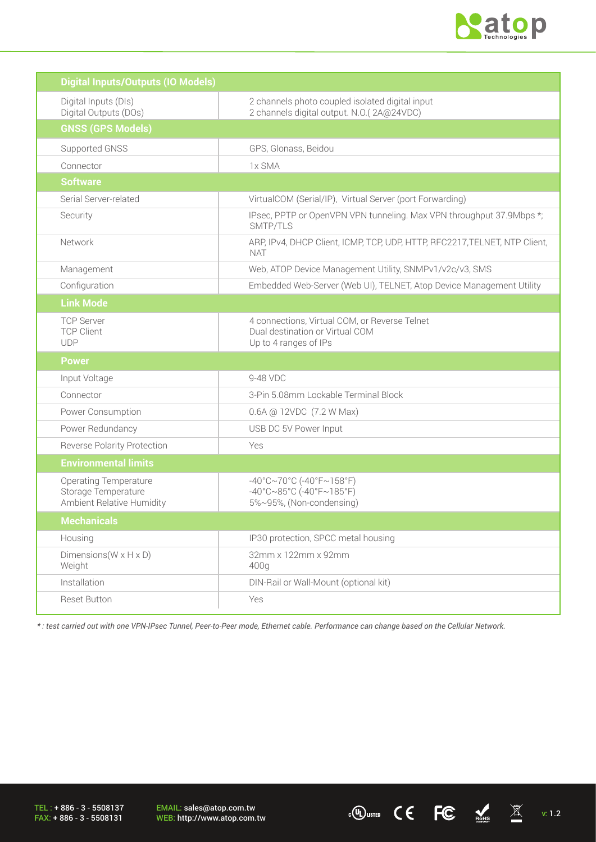

 $\overline{C}$  ( $\overline{C}$   $\overline{C}$   $\overline{M}$  v: 1.2

| <b>Digital Inputs/Outputs (IO Models)</b>                                        |                                                                                                                                  |
|----------------------------------------------------------------------------------|----------------------------------------------------------------------------------------------------------------------------------|
| Digital Inputs (DIs)<br>Digital Outputs (DOs)                                    | 2 channels photo coupled isolated digital input<br>2 channels digital output. N.O.(2A@24VDC)                                     |
| <b>GNSS (GPS Models)</b>                                                         |                                                                                                                                  |
| Supported GNSS                                                                   | GPS, Glonass, Beidou                                                                                                             |
| Connector                                                                        | 1x SMA                                                                                                                           |
| <b>Software</b>                                                                  |                                                                                                                                  |
| Serial Server-related                                                            | VirtualCOM (Serial/IP), Virtual Server (port Forwarding)                                                                         |
| Security                                                                         | IPsec, PPTP or OpenVPN VPN tunneling. Max VPN throughput 37.9Mbps *;<br>SMTP/TLS                                                 |
| Network                                                                          | ARP, IPv4, DHCP Client, ICMP, TCP, UDP, HTTP, RFC2217, TELNET, NTP Client,<br><b>NAT</b>                                         |
| Management                                                                       | Web, ATOP Device Management Utility, SNMPv1/v2c/v3, SMS                                                                          |
| Configuration                                                                    | Embedded Web-Server (Web UI), TELNET, Atop Device Management Utility                                                             |
| <b>Link Mode</b>                                                                 |                                                                                                                                  |
| <b>TCP Server</b><br><b>TCP Client</b><br><b>UDP</b>                             | 4 connections, Virtual COM, or Reverse Telnet<br>Dual destination or Virtual COM<br>Up to 4 ranges of IPs                        |
| <b>Power</b>                                                                     |                                                                                                                                  |
| Input Voltage                                                                    | 9-48 VDC                                                                                                                         |
| Connector                                                                        | 3-Pin 5.08mm Lockable Terminal Block                                                                                             |
| Power Consumption                                                                | 0.6A @ 12VDC (7.2 W Max)                                                                                                         |
| Power Redundancy                                                                 | USB DC 5V Power Input                                                                                                            |
| <b>Reverse Polarity Protection</b>                                               | Yes                                                                                                                              |
| <b>Environmental limits</b>                                                      |                                                                                                                                  |
| <b>Operating Temperature</b><br>Storage Temperature<br>Ambient Relative Humidity | $-40^{\circ}$ C $\sim$ 70°C (-40°F $\sim$ 158°F)<br>$-40^{\circ}$ C $\sim$ 85°C (-40°F $\sim$ 185°F)<br>5%~95%, (Non-condensing) |
| <b>Mechanicals</b>                                                               |                                                                                                                                  |
| Housing                                                                          | IP30 protection, SPCC metal housing                                                                                              |
| Dimensions ( $W \times H \times D$ )<br>Weight                                   | 32mm x 122mm x 92mm<br>400g                                                                                                      |
| Installation                                                                     | DIN-Rail or Wall-Mount (optional kit)                                                                                            |
| <b>Reset Button</b>                                                              | Yes                                                                                                                              |

*\* : test carried out with one VPN-IPsec Tunnel, Peer-to-Peer mode, Ethernet cable. Performance can change based on the Cellular Network.* 

TEL : + 886 - 3 - 5508137 FAX: + 886 - 3 - 5508131

EMAIL: sales@atop.com.tw<br>WEB: http://www.atop.com.tw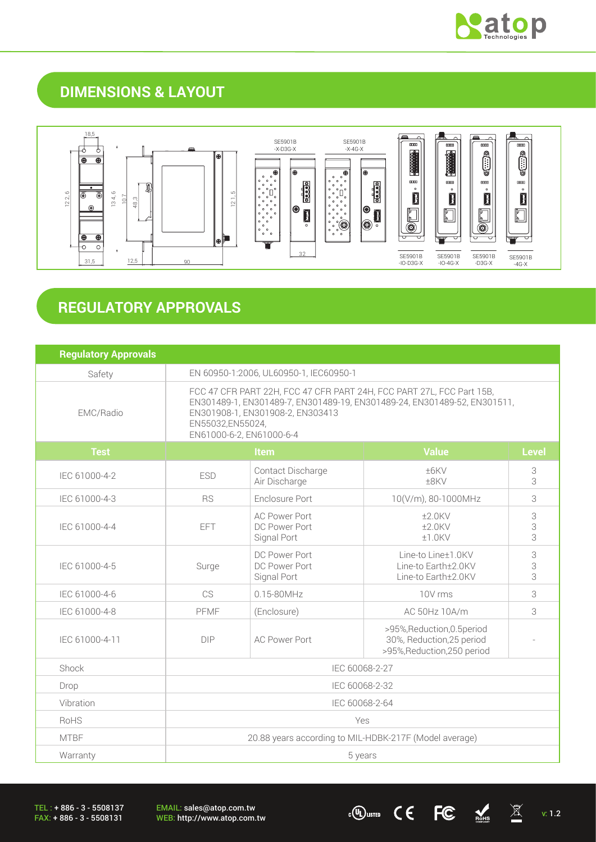

## **DIMENSIONS & LAYOUT**



# **REGULATORY APPROVALS**

| <b>Regulatory Approvals</b> |                                                                                                                                                                                                                                       |                                                                                             |                                                                                         |              |
|-----------------------------|---------------------------------------------------------------------------------------------------------------------------------------------------------------------------------------------------------------------------------------|---------------------------------------------------------------------------------------------|-----------------------------------------------------------------------------------------|--------------|
| Safety                      | EN 60950-1:2006, UL60950-1, IEC60950-1                                                                                                                                                                                                |                                                                                             |                                                                                         |              |
| EMC/Radio                   | FCC 47 CFR PART 22H, FCC 47 CFR PART 24H, FCC PART 27L, FCC Part 15B,<br>EN301489-1, EN301489-7, EN301489-19, EN301489-24, EN301489-52, EN301511,<br>EN301908-1, EN301908-2, EN303413<br>EN55032,EN55024,<br>EN61000-6-2, EN61000-6-4 |                                                                                             |                                                                                         |              |
| <b>Test</b>                 | Item<br><b>Value</b>                                                                                                                                                                                                                  |                                                                                             |                                                                                         | <b>Level</b> |
| IEC 61000-4-2               | Contact Discharge<br>±6KV<br><b>ESD</b><br>Air Discharge<br>±8KV                                                                                                                                                                      |                                                                                             | 3<br>3                                                                                  |              |
| IEC 61000-4-3               | Enclosure Port<br>10(V/m), 80-1000MHz<br><b>RS</b>                                                                                                                                                                                    |                                                                                             |                                                                                         | 3            |
| IEC 61000-4-4               | <b>EFT</b>                                                                                                                                                                                                                            | <b>AC Power Port</b><br>$±2.0$ KV<br>DC Power Port<br>$±2.0$ KV<br>Signal Port<br>$±1.0$ KV |                                                                                         | 3<br>3<br>3  |
| IEC 61000-4-5               | Surge                                                                                                                                                                                                                                 | DC Power Port<br>DC Power Port<br>Signal Port                                               | Line-to Line±1.0KV<br>Line-to Earth±2.0KV<br>Line-to Earth±2.0KV                        | 3<br>3<br>3  |
| IEC 61000-4-6               | CS                                                                                                                                                                                                                                    | 0.15-80MHz                                                                                  | 10V rms                                                                                 | 3            |
| IEC 61000-4-8               | PFMF                                                                                                                                                                                                                                  | (Enclosure)                                                                                 | AC 50Hz 10A/m                                                                           | 3            |
| IEC 61000-4-11              | <b>DIP</b>                                                                                                                                                                                                                            | <b>AC Power Port</b>                                                                        | >95%, Reduction, 0.5 period<br>30%, Reduction, 25 period<br>>95%, Reduction, 250 period |              |
| Shock                       |                                                                                                                                                                                                                                       | IEC 60068-2-27                                                                              |                                                                                         |              |
| Drop                        | IEC 60068-2-32                                                                                                                                                                                                                        |                                                                                             |                                                                                         |              |
| Vibration                   | IEC 60068-2-64                                                                                                                                                                                                                        |                                                                                             |                                                                                         |              |
| RoHS                        | Yes                                                                                                                                                                                                                                   |                                                                                             |                                                                                         |              |
| <b>MTBF</b>                 | 20.88 years according to MIL-HDBK-217F (Model average)                                                                                                                                                                                |                                                                                             |                                                                                         |              |
| Warranty                    | 5 years                                                                                                                                                                                                                               |                                                                                             |                                                                                         |              |